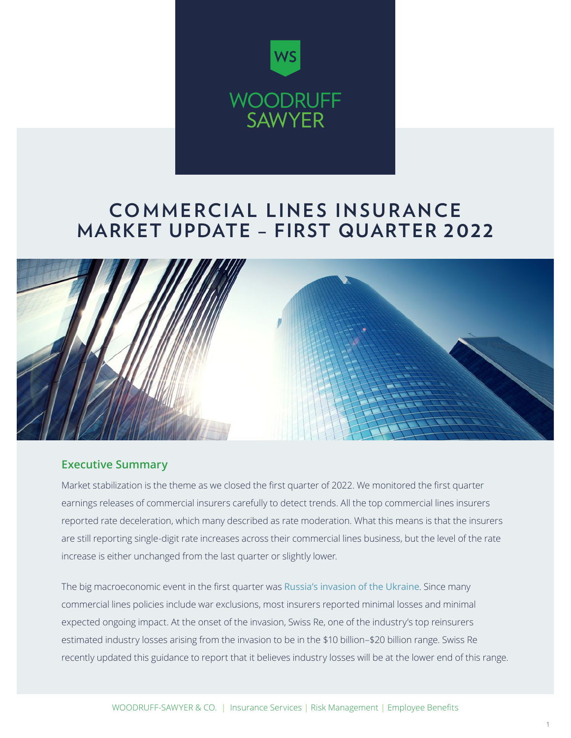

## **COMMERCIAL LINES INSURANCE MARKET UPDATE – FIRST QUARTER 2022**



#### **Executive Summary**

Market stabilization is the theme as we closed the first quarter of 2022. We monitored the first quarter earnings releases of commercial insurers carefully to detect trends. All the top commercial lines insurers reported rate deceleration, which many described as rate moderation. What this means is that the insurers are still reporting single-digit rate increases across their commercial lines business, but the level of the rate increase is either unchanged from the last quarter or slightly lower.

The big macroeconomic event in the first quarter was [Russia's invasion of the Ukraine](https://woodruffsawyer.com/property-casualty/invasion-ukraine-impact-insurance/?utm_source=ws-pdf&utm_medium=referral&utm_campaign=commercial-update-q1-2022). Since many commercial lines policies include war exclusions, most insurers reported minimal losses and minimal expected ongoing impact. At the onset of the invasion, Swiss Re, one of the industry's top reinsurers estimated industry losses arising from the invasion to be in the \$10 billion–\$20 billion range. Swiss Re recently updated this guidance to report that it believes industry losses will be at the lower end of this range.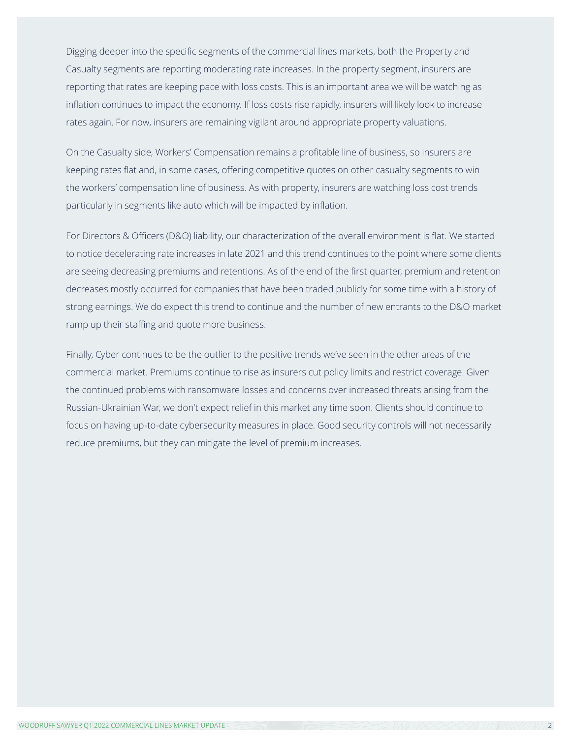Digging deeper into the specific segments of the commercial lines markets, both the Property and Casualty segments are reporting moderating rate increases. In the property segment, insurers are reporting that rates are keeping pace with loss costs. This is an important area we will be watching as inflation continues to impact the economy. If loss costs rise rapidly, insurers will likely look to increase rates again. For now, insurers are remaining vigilant around appropriate property valuations.

On the Casualty side, Workers' Compensation remains a profitable line of business, so insurers are keeping rates flat and, in some cases, offering competitive quotes on other casualty segments to win the workers' compensation line of business. As with property, insurers are watching loss cost trends particularly in segments like auto which will be impacted by inflation.

For Directors & Officers (D&O) liability, our characterization of the overall environment is flat. We started to notice decelerating rate increases in late 2021 and this trend continues to the point where some clients are seeing decreasing premiums and retentions. As of the end of the first quarter, premium and retention decreases mostly occurred for companies that have been traded publicly for some time with a history of strong earnings. We do expect this trend to continue and the number of new entrants to the D&O market ramp up their staffing and quote more business.

Finally, Cyber continues to be the outlier to the positive trends we've seen in the other areas of the commercial market. Premiums continue to rise as insurers cut policy limits and restrict coverage. Given the continued problems with ransomware losses and concerns over increased threats arising from the Russian-Ukrainian War, we don't expect relief in this market any time soon. Clients should continue to focus on having up-to-date cybersecurity measures in place. Good security controls will not necessarily reduce premiums, but they can mitigate the level of premium increases.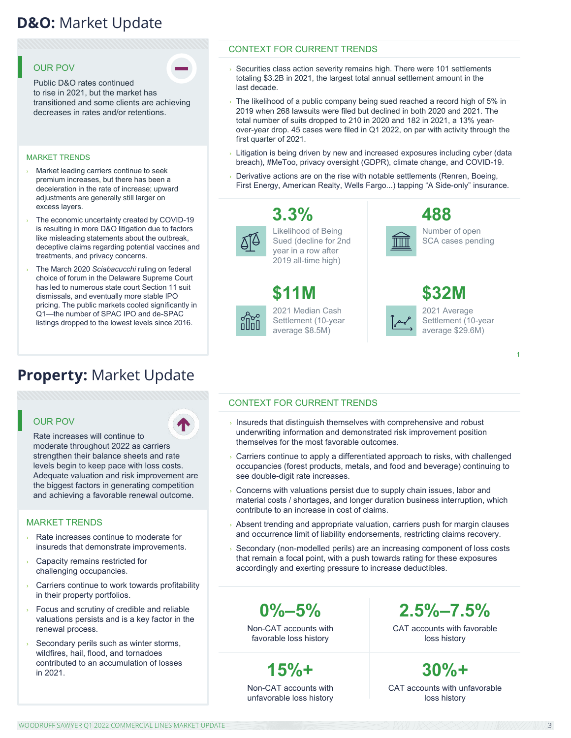## **D&O:** Market Update **D&O:** Market Update

#### OUR POV

Public D&O rates continued to rise in 2021, but the market has transitioned and some clients are achieving decreases in rates and/or retentions.

#### MARKET TRENDS

- › Market leading carriers continue to seek premium increases, but there has been a deceleration in the rate of increase; upward adjustments are generally still larger on excess layers.
- The economic uncertainty created by COVID-19 is resulting in more D&O litigation due to factors like misleading statements about the outbreak, deceptive claims regarding potential vaccines and treatments, and privacy concerns.
- The March 2020 Sciabacucchi ruling on federal choice of forum in the Delaware Supreme Court has led to numerous state court Section 11 suit dismissals, and eventually more stable IPO pricing. The public markets cooled significantly in Q1—the number of SPAC IPO and de-SPAC listings dropped to the lowest levels since 2016.

## **Property:** Market Update

#### OUR POV

Rate increases will continue to moderate throughout 2022 as carriers strengthen their balance sheets and rate levels begin to keep pace with loss costs. Adequate valuation and risk improvement are the biggest factors in generating competition and achieving a favorable renewal outcome.

#### MARKET TRENDS

- Rate increases continue to moderate for insureds that demonstrate improvements.
- Capacity remains restricted for challenging occupancies.
- Carriers continue to work towards profitability in their property portfolios.
- Focus and scrutiny of credible and reliable valuations persists and is a key factor in the renewal process.
- Secondary perils such as winter storms, wildfires, hail, flood, and tornadoes contributed to an accumulation of losses in 2021.

#### CONTEXT FOR CURRENT TRENDS

- $\rightarrow$  Securities class action severity remains high. There were 101 settlements totaling \$3.2B in 2021, the largest total annual settlement amount in the last decade.
- The likelihood of a public company being sued reached a record high of 5% in 2019 when 268 lawsuits were filed but declined in both 2020 and 2021. The total number of suits dropped to 210 in 2020 and 182 in 2021, a 13% yearover-year drop. 45 cases were filed in Q1 2022, on par with activity through the first quarter of 2021.
- Litigation is being driven by new and increased exposures including cyber (data breach), #MeToo, privacy oversight (GDPR), climate change, and COVID-19.
- Derivative actions are on the rise with notable settlements (Renren, Boeing, First Energy, American Realty, Wells Fargo...) tapping "A Side-only" insurance.



Likelihood of Being Sued (decline for 2nd year in a row after 2019 all-time high)

#### 2021 Median Cash Settlement (10-year average \$8.5M) **\$11M**

**3.3%**



Number of open SCA cases pending

| <b>\$32M</b>                      |
|-----------------------------------|
| 2021 Average<br>Settlement (10-ye |
| average \$29.6M)                  |

IIII

2021 Average Settlement (10-year **\$32M**

1

#### CONTEXT FOR CURRENT TRENDS

- $\overline{\phantom{a}}$  Insureds that distinguish themselves with comprehensive and robust underwriting information and demonstrated risk improvement position themselves for the most favorable outcomes.
- › Carriers continue to apply a differentiated approach to risks, with challenged occupancies (forest products, metals, and food and beverage) continuing to see double-digit rate increases.
- Concerns with valuations persist due to supply chain issues, labor and material costs / shortages, and longer duration business interruption, which contribute to an increase in cost of claims.
- Absent trending and appropriate valuation, carriers push for margin clauses and occurrence limit of liability endorsements, restricting claims recovery.
- Secondary (non-modelled perils) are an increasing component of loss costs that remain a focal point, with a push towards rating for these exposures accordingly and exerting pressure to increase deductibles.

**0%–5%**

Non-CAT accounts with favorable loss history

**15%+**

Non-CAT accounts with unfavorable loss history **2.5%–7.5%**

CAT accounts with favorable loss history

CAT accounts with unfavorable loss history **30%+**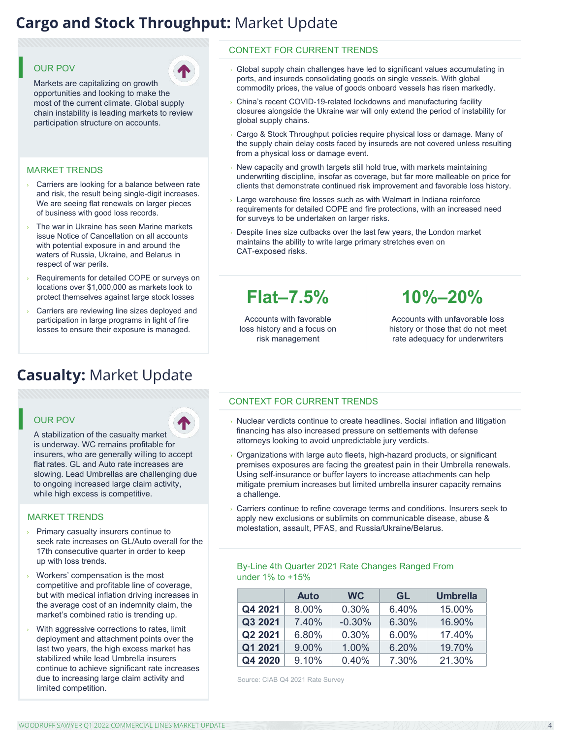## **Cargo and Stock Throughput: Market Update**

#### OUR POV



Markets are capitalizing on growth opportunities and looking to make the most of the current climate. Global supply chain instability is leading markets to review participation structure on accounts.

#### MARKET TRENDS

- Carriers are looking for a balance between rate and risk, the result being single-digit increases. We are seeing flat renewals on larger pieces of business with good loss records.
- The war in Ukraine has seen Marine markets issue Notice of Cancellation on all accounts with potential exposure in and around the waters of Russia, Ukraine, and Belarus in respect of war perils.
- Requirements for detailed COPE or surveys on locations over \$1,000,000 as markets look to protect themselves against large stock losses
- Carriers are reviewing line sizes deployed and participation in large programs in light of fire losses to ensure their exposure is managed.

#### **Casualty:** Market Update **Casualty:** Market Update Proprietary & Confidential. Not to be distributed without the prior consent of Woodruff-Sawyer & Co. 3

#### OUR POV

A stabilization of the casualty market is underway. WC remains profitable for insurers, who are generally willing to accept flat rates. GL and Auto rate increases are slowing. Lead Umbrellas are challenging due to ongoing increased large claim activity, while high excess is competitive.

#### MARKET TRENDS

- Primary casualty insurers continue to seek rate increases on GL/Auto overall for the 17th consecutive quarter in order to keep up with loss trends.
- Workers' compensation is the most competitive and profitable line of coverage, but with medical inflation driving increases in the average cost of an indemnity claim, the market's combined ratio is trending up.
- With aggressive corrections to rates, limit deployment and attachment points over the last two years, the high excess market has stabilized while lead Umbrella insurers continue to achieve significant rate increases due to increasing large claim activity and limited competition.

#### CONTEXT FOR CURRENT TRENDS

- $\rightarrow$  Global supply chain challenges have led to significant values accumulating in ports, and insureds consolidating goods on single vessels. With global commodity prices, the value of goods onboard vessels has risen markedly.
- China's recent COVID-19-related lockdowns and manufacturing facility closures alongside the Ukraine war will only extend the period of instability for global supply chains.
- › Cargo & Stock Throughput policies require physical loss or damage. Many of the supply chain delay costs faced by insureds are not covered unless resulting from a physical loss or damage event.
- New capacity and growth targets still hold true, with markets maintaining underwriting discipline, insofar as coverage, but far more malleable on price for clients that demonstrate continued risk improvement and favorable loss history.
- $\rightarrow$  Large warehouse fire losses such as with Walmart in Indiana reinforce requirements for detailed COPE and fire protections, with an increased need for surveys to be undertaken on larger risks.
- Despite lines size cutbacks over the last few years, the London market maintains the ability to write large primary stretches even on CAT-exposed risks.

## **Flat–7.5%**

Accounts with favorable loss history and a focus on risk management

**10%–20%**

Accounts with unfavorable loss history or those that do not meet rate adequacy for underwriters

#### CONTEXT FOR CURRENT TRENDS

- › Nuclear verdicts continue to create headlines. Social inflation and litigation financing has also increased pressure on settlements with defense attorneys looking to avoid unpredictable jury verdicts.
- Organizations with large auto fleets, high-hazard products, or significant premises exposures are facing the greatest pain in their Umbrella renewals. Using self-insurance or buffer layers to increase attachments can help mitigate premium increases but limited umbrella insurer capacity remains a challenge.
- Carriers continue to refine coverage terms and conditions. Insurers seek to apply new exclusions or sublimits on communicable disease, abuse & molestation, assault, PFAS, and Russia/Ukraine/Belarus.

#### By-Line 4th Quarter 2021 Rate Changes Ranged From under 1% to +15%

|         | <b>Auto</b> | <b>WC</b> | GL    | <b>Umbrella</b> |
|---------|-------------|-----------|-------|-----------------|
| Q4 2021 | 8.00%       | 0.30%     | 6.40% | 15.00%          |
| Q3 2021 | 7.40%       | $-0.30%$  | 6.30% | 16.90%          |
| Q2 2021 | 6.80%       | 0.30%     | 6.00% | 17.40%          |
| Q1 2021 | 9.00%       | 1.00%     | 6.20% | 19.70%          |
| Q4 2020 | 9.10%       | 0.40%     | 7.30% | 21.30%          |

Source: CIAB Q4 2021 Rate Survey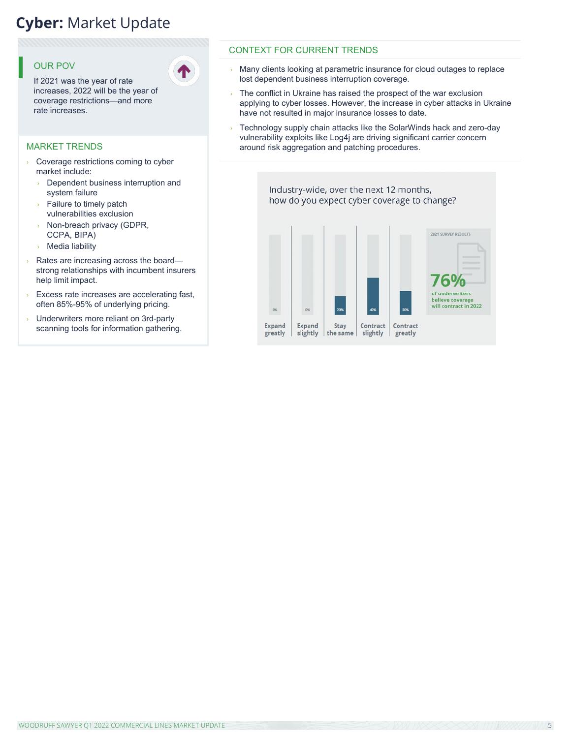## **Cyber: Market Update**

#### OUR POV

If 2021 was the year of rate increases, 2022 will be the year of coverage restrictions—and more rate increases.

#### MARKET TRENDS

- › Coverage restrictions coming to cyber market include:
	- › Dependent business interruption and system failure
	- Failure to timely patch vulnerabilities exclusion
	- Non-breach privacy (GDPR, CCPA, BIPA)
	- › Media liability
- › Rates are increasing across the board strong relationships with incumbent insurers help limit impact.
- Excess rate increases are accelerating fast, often 85%-95% of underlying pricing.
- › Underwriters more reliant on 3rd-party scanning tools for information gathering.

#### CONTEXT FOR CURRENT TRENDS

- $\rightarrow$  Many clients looking at parametric insurance for cloud outages to replace lost dependent business interruption coverage.
- $\rightarrow$  The conflict in Ukraine has raised the prospect of the war exclusion applying to cyber losses. However, the increase in cyber attacks in Ukraine have not resulted in major insurance losses to date.
- Technology supply chain attacks like the SolarWinds hack and zero-day vulnerability exploits like Log4j are driving significant carrier concern around risk aggregation and patching procedures.